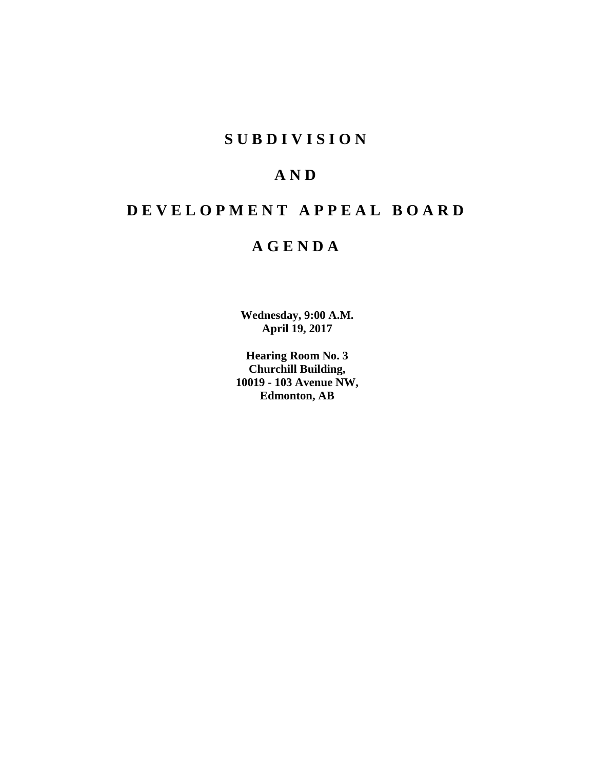## **SUBDIVISION**

## **AND**

# **DEVELOPMENT APPEAL BOARD**

## **AGENDA**

**Wednesday, 9:00 A.M. April 19, 2017**

**Hearing Room No. 3 Churchill Building, 10019 - 103 Avenue NW, Edmonton, AB**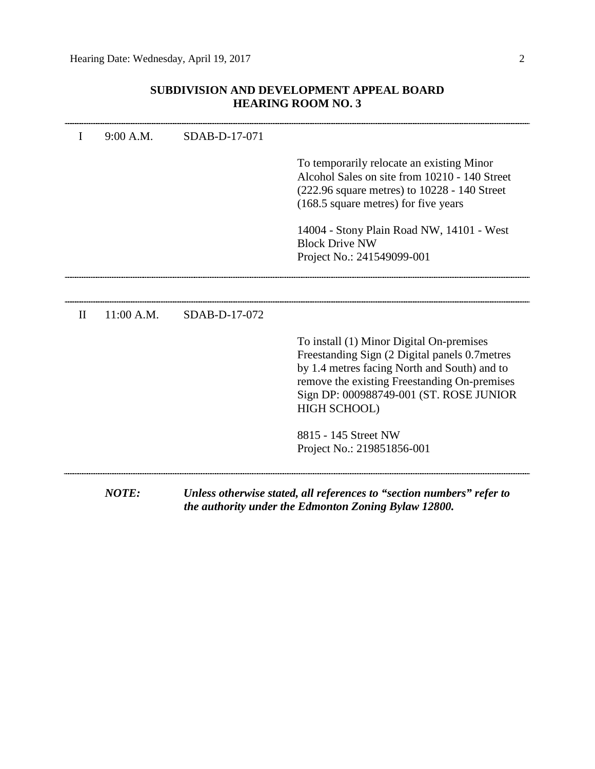## **SUBDIVISION AND DEVELOPMENT APPEAL BOARD HEARING ROOM NO. 3**

|              | <b>NOTE:</b> |               | Unless otherwise stated, all references to "section numbers" refer to<br>the authority under the Edmonton Zoning Bylaw 12800.                                                                                                                         |
|--------------|--------------|---------------|-------------------------------------------------------------------------------------------------------------------------------------------------------------------------------------------------------------------------------------------------------|
|              |              |               | 8815 - 145 Street NW<br>Project No.: 219851856-001                                                                                                                                                                                                    |
|              |              |               | To install (1) Minor Digital On-premises<br>Freestanding Sign (2 Digital panels 0.7 metres<br>by 1.4 metres facing North and South) and to<br>remove the existing Freestanding On-premises<br>Sign DP: 000988749-001 (ST. ROSE JUNIOR<br>HIGH SCHOOL) |
| $\mathbf{I}$ | 11:00 A.M.   | SDAB-D-17-072 |                                                                                                                                                                                                                                                       |
|              |              |               | 14004 - Stony Plain Road NW, 14101 - West<br><b>Block Drive NW</b><br>Project No.: 241549099-001                                                                                                                                                      |
|              |              |               | To temporarily relocate an existing Minor<br>Alcohol Sales on site from 10210 - 140 Street<br>$(222.96 \text{ square metres})$ to $10228 - 140 \text{ Street}$<br>(168.5 square metres) for five years                                                |
| I            | 9:00 A.M.    | SDAB-D-17-071 |                                                                                                                                                                                                                                                       |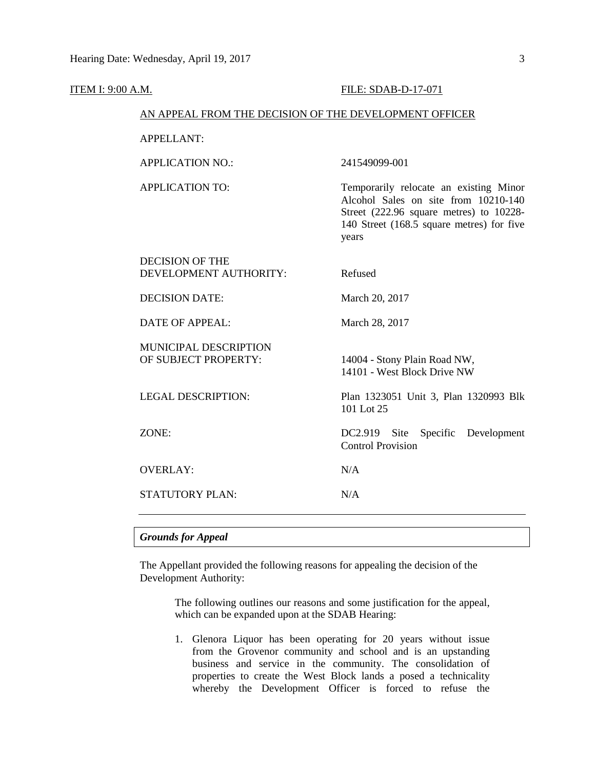|       | AN APPEAL FROM THE DECISION OF THE DEVELOPMENT OFFICER |                                                                                                                                                                                 |  |  |
|-------|--------------------------------------------------------|---------------------------------------------------------------------------------------------------------------------------------------------------------------------------------|--|--|
|       | <b>APPELLANT:</b>                                      |                                                                                                                                                                                 |  |  |
|       | <b>APPLICATION NO.:</b>                                | 241549099-001                                                                                                                                                                   |  |  |
|       | <b>APPLICATION TO:</b>                                 | Temporarily relocate an existing Minor<br>Alcohol Sales on site from 10210-140<br>Street (222.96 square metres) to 10228-<br>140 Street (168.5 square metres) for five<br>years |  |  |
|       | <b>DECISION OF THE</b><br>DEVELOPMENT AUTHORITY:       | Refused                                                                                                                                                                         |  |  |
|       | <b>DECISION DATE:</b>                                  | March 20, 2017                                                                                                                                                                  |  |  |
|       | <b>DATE OF APPEAL:</b>                                 | March 28, 2017                                                                                                                                                                  |  |  |
|       | MUNICIPAL DESCRIPTION<br>OF SUBJECT PROPERTY:          | 14004 - Stony Plain Road NW,<br>14101 - West Block Drive NW                                                                                                                     |  |  |
|       | <b>LEGAL DESCRIPTION:</b>                              | Plan 1323051 Unit 3, Plan 1320993 Blk<br>101 Lot 25                                                                                                                             |  |  |
| ZONE: |                                                        | Specific Development<br>$DC2.919$ Site<br><b>Control Provision</b>                                                                                                              |  |  |
|       | <b>OVERLAY:</b>                                        | N/A                                                                                                                                                                             |  |  |
|       | STATUTORY PLAN:                                        | N/A                                                                                                                                                                             |  |  |
|       |                                                        |                                                                                                                                                                                 |  |  |

### *Grounds for Appeal*

The Appellant provided the following reasons for appealing the decision of the Development Authority:

> The following outlines our reasons and some justification for the appeal, which can be expanded upon at the SDAB Hearing:

> 1. Glenora Liquor has been operating for 20 years without issue from the Grovenor community and school and is an upstanding business and service in the community. The consolidation of properties to create the West Block lands a posed a technicality whereby the Development Officer is forced to refuse the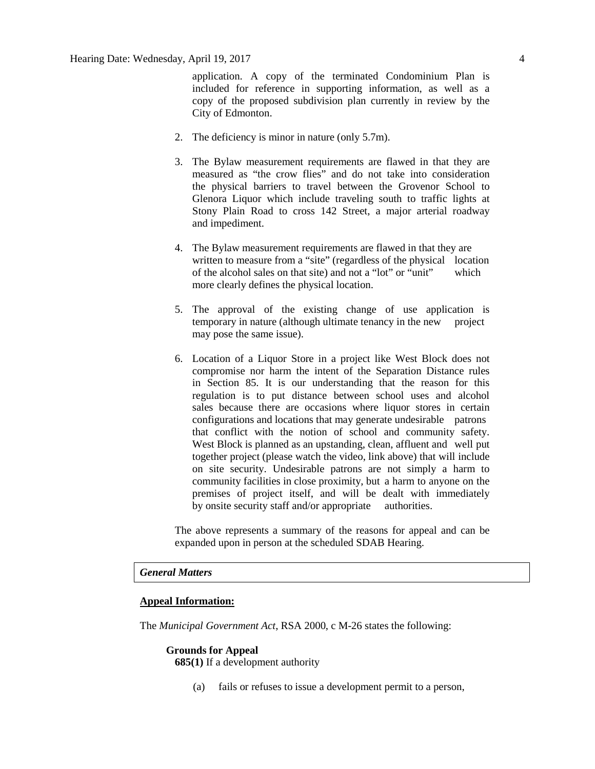application. A copy of the terminated Condominium Plan is included for reference in supporting information, as well as a copy of the proposed subdivision plan currently in review by the City of Edmonton.

- 2. The deficiency is minor in nature (only 5.7m).
- 3. The Bylaw measurement requirements are flawed in that they are measured as "the crow flies" and do not take into consideration the physical barriers to travel between the Grovenor School to Glenora Liquor which include traveling south to traffic lights at Stony Plain Road to cross 142 Street, a major arterial roadway and impediment.
- 4. The Bylaw measurement requirements are flawed in that they are written to measure from a "site" (regardless of the physical location of the alcohol sales on that site) and not a "lot" or "unit" which more clearly defines the physical location.
- 5. The approval of the existing change of use application is temporary in nature (although ultimate tenancy in the new project may pose the same issue).
- 6. Location of a Liquor Store in a project like West Block does not compromise nor harm the intent of the Separation Distance rules in Section 85. It is our understanding that the reason for this regulation is to put distance between school uses and alcohol sales because there are occasions where liquor stores in certain configurations and locations that may generate undesirable patrons that conflict with the notion of school and community safety. West Block is planned as an upstanding, clean, affluent and well put together project (please watch the video, link above) that will include on site security. Undesirable patrons are not simply a harm to community facilities in close proximity, but a harm to anyone on the premises of project itself, and will be dealt with immediately by onsite security staff and/or appropriate authorities.

The above represents a summary of the reasons for appeal and can be expanded upon in person at the scheduled SDAB Hearing.

#### *General Matters*

#### **Appeal Information:**

The *Municipal Government Act*, RSA 2000, c M-26 states the following:

#### **Grounds for Appeal**

**685(1)** If a development authority

(a) fails or refuses to issue a development permit to a person,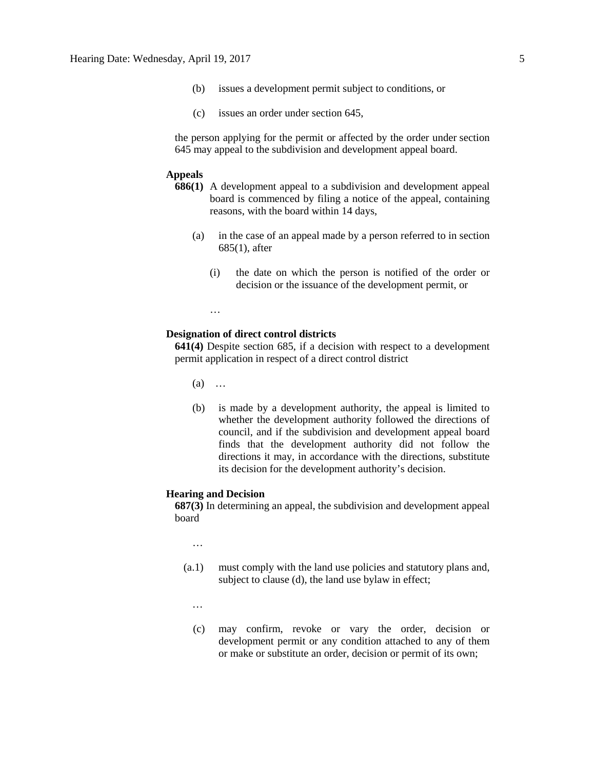- (b) issues a development permit subject to conditions, or
- (c) issues an order under section 645,

the person applying for the permit or affected by the order under section 645 may appeal to the subdivision and development appeal board.

#### **Appeals**

- **686(1)** A development appeal to a subdivision and development appeal board is commenced by filing a notice of the appeal, containing reasons, with the board within 14 days,
	- (a) in the case of an appeal made by a person referred to in section 685(1), after
		- (i) the date on which the person is notified of the order or decision or the issuance of the development permit, or

…

#### **Designation of direct control districts**

**641(4)** Despite section 685, if a decision with respect to a development permit application in respect of a direct control district

(a) …

(b) is made by a development authority, the appeal is limited to whether the development authority followed the directions of council, and if the subdivision and development appeal board finds that the development authority did not follow the directions it may, in accordance with the directions, substitute its decision for the development authority's decision.

#### **Hearing and Decision**

**687(3)** In determining an appeal, the subdivision and development appeal board

…

- (a.1) must comply with the land use policies and statutory plans and, subject to clause (d), the land use bylaw in effect;
	- …
	- (c) may confirm, revoke or vary the order, decision or development permit or any condition attached to any of them or make or substitute an order, decision or permit of its own;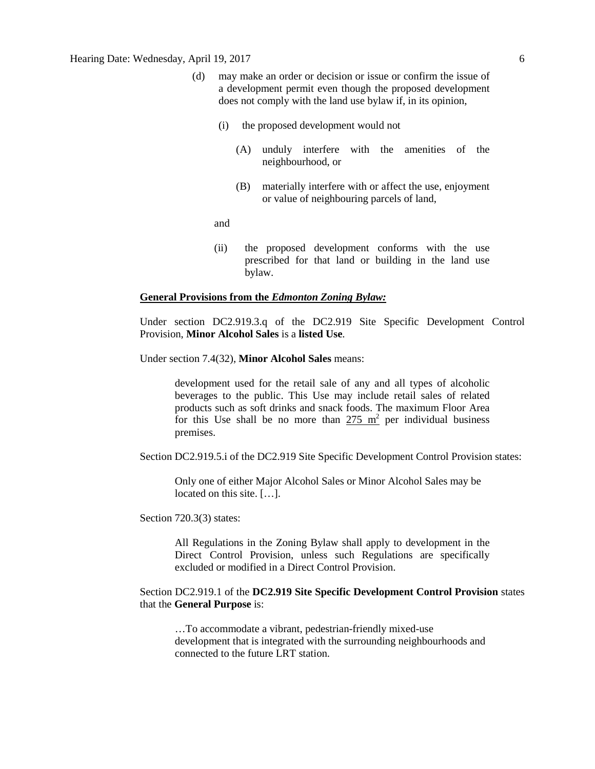- (d) may make an order or decision or issue or confirm the issue of a development permit even though the proposed development does not comply with the land use bylaw if, in its opinion,
	- (i) the proposed development would not
		- (A) unduly interfere with the amenities of the neighbourhood, or
		- (B) materially interfere with or affect the use, enjoyment or value of neighbouring parcels of land,

and

(ii) the proposed development conforms with the use prescribed for that land or building in the land use bylaw.

#### **General Provisions from the** *Edmonton Zoning Bylaw:*

Under section DC2.919.3.q of the DC2.919 Site Specific Development Control Provision, **Minor Alcohol Sales** is a **listed Use**.

Under section 7.4(32), **Minor Alcohol Sales** means:

development used for the retail sale of any and all types of alcoholic beverages to the public. This Use may include retail sales of related products such as soft drinks and snack foods. The maximum Floor Area for this Use shall be no more than  $275 \text{ m}^2$  per individual business premises.

Section DC2.919.5.i of the DC2.919 Site Specific Development Control Provision states:

Only one of either Major Alcohol Sales or Minor Alcohol Sales may be located on this site. […].

Section 720.3(3) states:

All Regulations in the Zoning Bylaw shall apply to development in the Direct Control Provision, unless such Regulations are specifically excluded or modified in a Direct Control Provision.

### Section DC2.919.1 of the **DC2.919 Site Specific Development Control Provision** states that the **General Purpose** is:

…To accommodate a vibrant, pedestrian-friendly mixed-use development that is integrated with the surrounding neighbourhoods and connected to the future LRT station.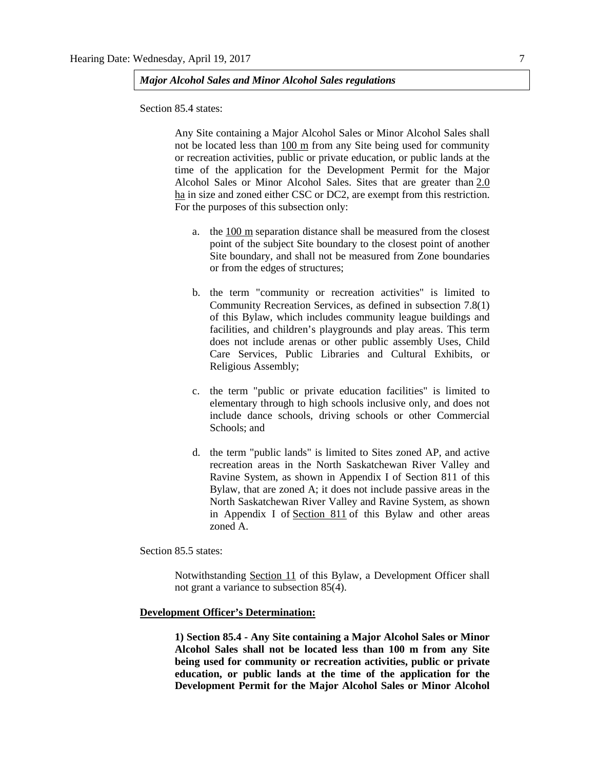*Major Alcohol Sales and Minor Alcohol Sales regulations*

Section 85.4 states:

Any Site containing a Major Alcohol Sales or Minor Alcohol Sales shall not be located less than 100 m from any Site being used for community or recreation activities, public or private education, or public lands at the time of the application for the Development Permit for the Major Alcohol Sales or Minor Alcohol Sales. Sites that are greater than [2.0](javascript:void(0);)  [ha](javascript:void(0);) in size and zoned either CSC or DC2, are exempt from this restriction. For the purposes of this subsection only:

- a. the [100 m](http://webdocs.edmonton.ca/InfraPlan/zoningbylaw/ZoningBylaw/Measurements/im100.htm) separation distance shall be measured from the closest point of the subject Site boundary to the closest point of another Site boundary, and shall not be measured from Zone boundaries or from the edges of structures;
- b. the term "community or recreation activities" is limited to Community Recreation Services, as defined in subsection 7.8(1) of this Bylaw, which includes community league buildings and facilities, and children's playgrounds and play areas. This term does not include arenas or other public assembly Uses, Child Care Services, Public Libraries and Cultural Exhibits, or Religious Assembly;
- c. the term "public or private education facilities" is limited to elementary through to high schools inclusive only, and does not include dance schools, driving schools or other Commercial Schools; and
- d. the term "public lands" is limited to Sites zoned AP, and active recreation areas in the North Saskatchewan River Valley and Ravine System, as shown in Appendix I of Section 811 of this Bylaw, that are zoned A; it does not include passive areas in the North Saskatchewan River Valley and Ravine System, as shown in Appendix I of [Section 811](http://webdocs.edmonton.ca/InfraPlan/zoningbylaw/ZoningBylaw/Part2/Overlays/811_North_Saskatchewan_River_Valley_and_Ravine_System_Protection_Overlay.htm) of this Bylaw and other areas zoned A.

Section 85.5 states:

Notwithstanding Section 11 of this Bylaw, a Development Officer shall not grant a variance to subsection 85(4).

#### **Development Officer's Determination:**

**1) Section 85.4 - Any Site containing a Major Alcohol Sales or Minor Alcohol Sales shall not be located less than 100 m from any Site being used for community or recreation activities, public or private education, or public lands at the time of the application for the Development Permit for the Major Alcohol Sales or Minor Alcohol**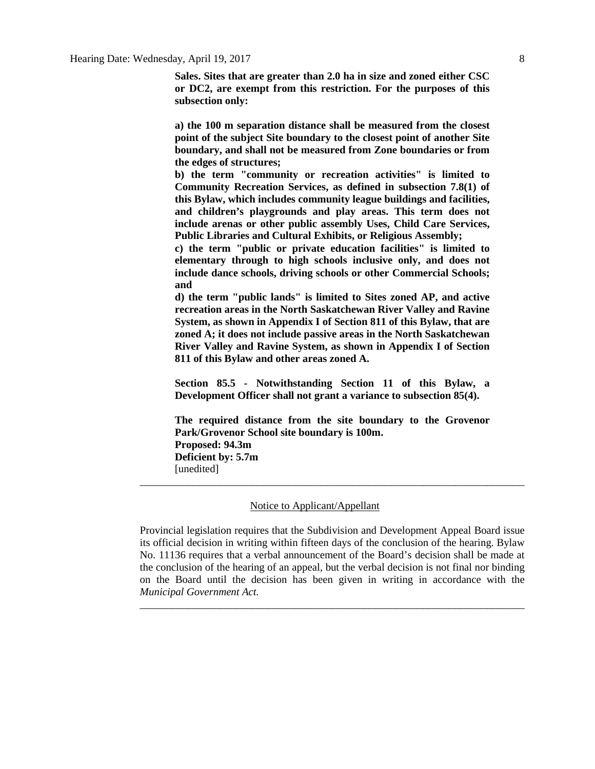**Sales. Sites that are greater than 2.0 ha in size and zoned either CSC or DC2, are exempt from this restriction. For the purposes of this subsection only:**

**a) the 100 m separation distance shall be measured from the closest point of the subject Site boundary to the closest point of another Site boundary, and shall not be measured from Zone boundaries or from the edges of structures;**

**b) the term "community or recreation activities" is limited to Community Recreation Services, as defined in subsection 7.8(1) of this Bylaw, which includes community league buildings and facilities, and children's playgrounds and play areas. This term does not include arenas or other public assembly Uses, Child Care Services, Public Libraries and Cultural Exhibits, or Religious Assembly;**

**c) the term "public or private education facilities" is limited to elementary through to high schools inclusive only, and does not include dance schools, driving schools or other Commercial Schools; and**

**d) the term "public lands" is limited to Sites zoned AP, and active recreation areas in the North Saskatchewan River Valley and Ravine System, as shown in Appendix I of Section 811 of this Bylaw, that are zoned A; it does not include passive areas in the North Saskatchewan River Valley and Ravine System, as shown in Appendix I of Section 811 of this Bylaw and other areas zoned A.**

**Section 85.5 - Notwithstanding Section 11 of this Bylaw, a Development Officer shall not grant a variance to subsection 85(4).**

**The required distance from the site boundary to the Grovenor Park/Grovenor School site boundary is 100m. Proposed: 94.3m Deficient by: 5.7m** [unedited]

\_\_\_\_\_\_\_\_\_\_\_\_\_\_\_\_\_\_\_\_\_\_\_\_\_\_\_\_\_\_\_\_\_\_\_\_\_\_\_\_\_\_\_\_\_\_\_\_\_\_\_\_\_\_\_\_\_\_\_\_\_\_\_\_\_\_\_\_\_\_\_\_

#### Notice to Applicant/Appellant

Provincial legislation requires that the Subdivision and Development Appeal Board issue its official decision in writing within fifteen days of the conclusion of the hearing. Bylaw No. 11136 requires that a verbal announcement of the Board's decision shall be made at the conclusion of the hearing of an appeal, but the verbal decision is not final nor binding on the Board until the decision has been given in writing in accordance with the *Municipal Government Act.*

\_\_\_\_\_\_\_\_\_\_\_\_\_\_\_\_\_\_\_\_\_\_\_\_\_\_\_\_\_\_\_\_\_\_\_\_\_\_\_\_\_\_\_\_\_\_\_\_\_\_\_\_\_\_\_\_\_\_\_\_\_\_\_\_\_\_\_\_\_\_\_\_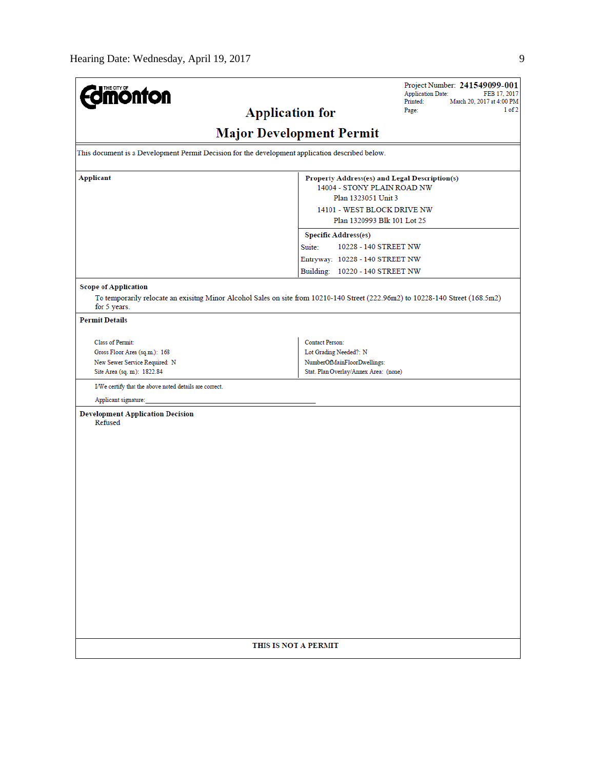| <b>Umönton</b>                                                                                                                                                                |                                                                                                                                                                   | Project Number: 241549099-001<br><b>Application Date:</b><br>FEB 17, 2017<br>Printed:<br>March 20, 2017 at 4:00 PM |
|-------------------------------------------------------------------------------------------------------------------------------------------------------------------------------|-------------------------------------------------------------------------------------------------------------------------------------------------------------------|--------------------------------------------------------------------------------------------------------------------|
| <b>Application for</b>                                                                                                                                                        |                                                                                                                                                                   | 1 of 2<br>Page:                                                                                                    |
|                                                                                                                                                                               | <b>Major Development Permit</b>                                                                                                                                   |                                                                                                                    |
| This document is a Development Permit Decision for the development application described below.                                                                               |                                                                                                                                                                   |                                                                                                                    |
| <b>Applicant</b>                                                                                                                                                              | Property Address(es) and Legal Description(s)<br>14004 - STONY PLAIN ROAD NW<br>Plan 1323051 Unit 3<br>14101 - WEST BLOCK DRIVE NW<br>Plan 1320993 Blk 101 Lot 25 |                                                                                                                    |
|                                                                                                                                                                               | <b>Specific Address(es)</b><br>10228 - 140 STREET NW<br>Suite:<br>Entryway: 10228 - 140 STREET NW<br>Building: 10220 - 140 STREET NW                              |                                                                                                                    |
| <b>Scope of Application</b><br>To temporarily relocate an exisitng Minor Alcohol Sales on site from 10210-140 Street (222.96m2) to 10228-140 Street (168.5m2)<br>for 5 years. |                                                                                                                                                                   |                                                                                                                    |
| <b>Permit Details</b>                                                                                                                                                         |                                                                                                                                                                   |                                                                                                                    |
| <b>Class of Permit:</b><br>Gross Floor Area (sq.m.): 168<br>New Sewer Service Required: N<br>Site Area (sq. m.): 1822.84                                                      | <b>Contact Person:</b><br>Lot Grading Needed?: N<br>NumberOfMainFloorDwellings:<br>Stat. Plan Overlay/Annex Area: (none)                                          |                                                                                                                    |
| I/We certify that the above noted details are correct.                                                                                                                        |                                                                                                                                                                   |                                                                                                                    |
| Applicant signature:                                                                                                                                                          |                                                                                                                                                                   |                                                                                                                    |
| <b>Development Application Decision</b><br>Refused                                                                                                                            |                                                                                                                                                                   |                                                                                                                    |
| THIS IS NOT A PERMIT                                                                                                                                                          |                                                                                                                                                                   |                                                                                                                    |
|                                                                                                                                                                               |                                                                                                                                                                   |                                                                                                                    |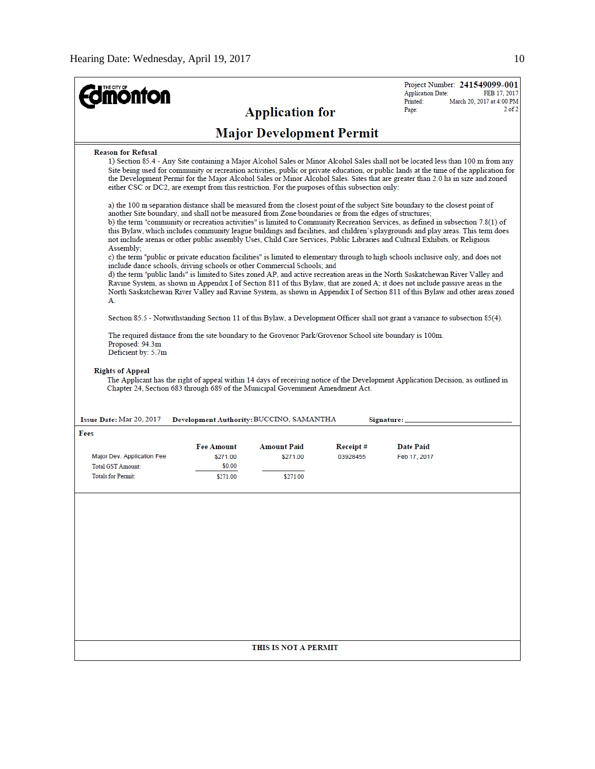|                                                                                                                                                                                                |                    |                                          |           | Project Number: 241549099-001<br><b>Application Date:</b><br>FEB 17, 2017                                                                                                                                                                                                                                                                                                                                                                                                                                                                                                                                                                                                                                                                                                                                                                                                                                                                       |
|------------------------------------------------------------------------------------------------------------------------------------------------------------------------------------------------|--------------------|------------------------------------------|-----------|-------------------------------------------------------------------------------------------------------------------------------------------------------------------------------------------------------------------------------------------------------------------------------------------------------------------------------------------------------------------------------------------------------------------------------------------------------------------------------------------------------------------------------------------------------------------------------------------------------------------------------------------------------------------------------------------------------------------------------------------------------------------------------------------------------------------------------------------------------------------------------------------------------------------------------------------------|
| <b>onton</b>                                                                                                                                                                                   |                    |                                          |           | Printed:<br>March 20, 2017 at 4:00 PM<br>$2$ of $2$<br>Page:                                                                                                                                                                                                                                                                                                                                                                                                                                                                                                                                                                                                                                                                                                                                                                                                                                                                                    |
|                                                                                                                                                                                                |                    | <b>Application for</b>                   |           |                                                                                                                                                                                                                                                                                                                                                                                                                                                                                                                                                                                                                                                                                                                                                                                                                                                                                                                                                 |
|                                                                                                                                                                                                |                    | <b>Major Development Permit</b>          |           |                                                                                                                                                                                                                                                                                                                                                                                                                                                                                                                                                                                                                                                                                                                                                                                                                                                                                                                                                 |
| <b>Reason for Refusal</b><br>either CSC or DC2, are exempt from this restriction. For the purposes of this subsection only:                                                                    |                    |                                          |           | 1) Section 85.4 - Any Site containing a Major Alcohol Sales or Minor Alcohol Sales shall not be located less than 100 m from any<br>Site being used for community or recreation activities, public or private education, or public lands at the time of the application for<br>the Development Permit for the Major Alcohol Sales or Minor Alcohol Sales. Sites that are greater than 2.0 ha in size and zoned                                                                                                                                                                                                                                                                                                                                                                                                                                                                                                                                  |
| another Site boundary, and shall not be measured from Zone boundaries or from the edges of structures;<br>Assembly:<br>include dance schools, driving schools or other Commercial Schools; and |                    |                                          |           | a) the 100 m separation distance shall be measured from the closest point of the subject Site boundary to the closest point of<br>b) the term "community or recreation activities" is limited to Community Recreation Services, as defined in subsection 7.8(1) of<br>this Bylaw, which includes community league buildings and facilities, and children's playgrounds and play areas. This term does<br>not include arenas or other public assembly Uses, Child Care Services, Public Libraries and Cultural Exhibits, or Religious<br>c) the term "public or private education facilities" is limited to elementary through to high schools inclusive only, and does not<br>d) the term "public lands" is limited to Sites zoned AP, and active recreation areas in the North Saskatchewan River Valley and<br>Ravine System, as shown in Appendix I of Section 811 of this Bylaw, that are zoned A; it does not include passive areas in the |
| А.                                                                                                                                                                                             |                    |                                          |           | North Saskatchewan River Valley and Ravine System, as shown in Appendix I of Section 811 of this Bylaw and other areas zoned                                                                                                                                                                                                                                                                                                                                                                                                                                                                                                                                                                                                                                                                                                                                                                                                                    |
|                                                                                                                                                                                                |                    |                                          |           | Section 85.5 - Notwithstanding Section 11 of this Bylaw, a Development Officer shall not grant a variance to subsection 85(4).                                                                                                                                                                                                                                                                                                                                                                                                                                                                                                                                                                                                                                                                                                                                                                                                                  |
| The required distance from the site boundary to the Grovenor Park/Grovenor School site boundary is 100m.<br>Proposed: 94.3m<br>Deficient by: 5.7m                                              |                    |                                          |           |                                                                                                                                                                                                                                                                                                                                                                                                                                                                                                                                                                                                                                                                                                                                                                                                                                                                                                                                                 |
| <b>Rights of Appeal</b><br>Chapter 24, Section 683 through 689 of the Municipal Government Amendment Act.                                                                                      |                    |                                          |           | The Applicant has the right of appeal within 14 days of receiving notice of the Development Application Decision, as outlined in                                                                                                                                                                                                                                                                                                                                                                                                                                                                                                                                                                                                                                                                                                                                                                                                                |
| <b>Issue Date: Mar 20, 2017</b>                                                                                                                                                                |                    | Development Authority: BUCCINO, SAMANTHA |           | Signature:                                                                                                                                                                                                                                                                                                                                                                                                                                                                                                                                                                                                                                                                                                                                                                                                                                                                                                                                      |
| Fees                                                                                                                                                                                           |                    |                                          |           |                                                                                                                                                                                                                                                                                                                                                                                                                                                                                                                                                                                                                                                                                                                                                                                                                                                                                                                                                 |
|                                                                                                                                                                                                | <b>Fee Amount</b>  | <b>Amount Paid</b>                       | Receipt # | <b>Date Paid</b>                                                                                                                                                                                                                                                                                                                                                                                                                                                                                                                                                                                                                                                                                                                                                                                                                                                                                                                                |
| Major Dev. Application Fee                                                                                                                                                                     | \$271.00           | \$271.00                                 | 03928455  | Feb 17, 2017                                                                                                                                                                                                                                                                                                                                                                                                                                                                                                                                                                                                                                                                                                                                                                                                                                                                                                                                    |
| <b>Total GST Amount:</b><br><b>Totals for Permit:</b>                                                                                                                                          | \$0.00<br>\$271.00 | \$271.00                                 |           |                                                                                                                                                                                                                                                                                                                                                                                                                                                                                                                                                                                                                                                                                                                                                                                                                                                                                                                                                 |
|                                                                                                                                                                                                |                    |                                          |           |                                                                                                                                                                                                                                                                                                                                                                                                                                                                                                                                                                                                                                                                                                                                                                                                                                                                                                                                                 |
|                                                                                                                                                                                                |                    | THIS IS NOT A PERMIT                     |           |                                                                                                                                                                                                                                                                                                                                                                                                                                                                                                                                                                                                                                                                                                                                                                                                                                                                                                                                                 |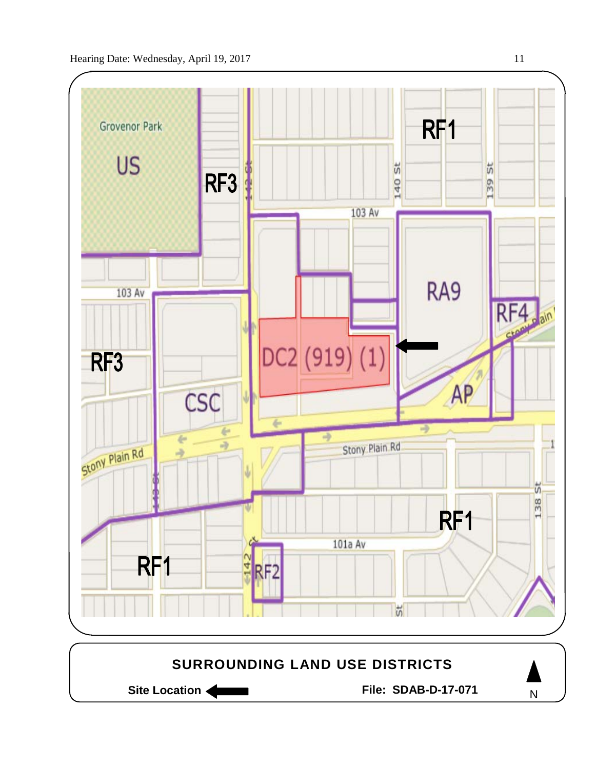

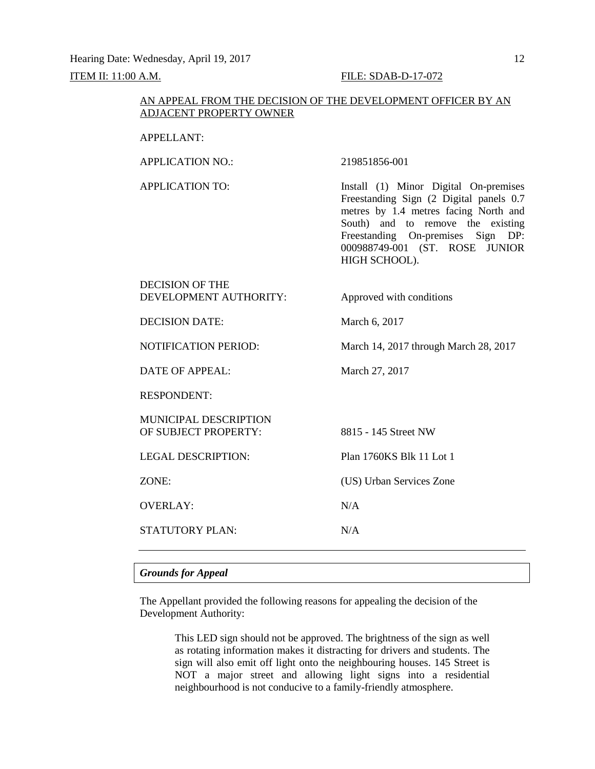Hearing Date: Wednesday, April 19, 2017 12

#### **ITEM II: 11:00 A.M. FILE: SDAB-D-17-072**

#### AN APPEAL FROM THE DECISION OF THE DEVELOPMENT OFFICER BY AN ADJACENT PROPERTY OWNER

#### APPELLANT:

APPLICATION NO.: 219851856-001

APPLICATION TO: Install (1) Minor Digital On-premises Freestanding Sign (2 Digital panels 0.7 metres by 1.4 metres facing North and South) and to remove the existing Freestanding On-premises Sign DP: 000988749-001 (ST. ROSE JUNIOR HIGH SCHOOL).

| <b>DECISION OF THE</b><br>DEVELOPMENT AUTHORITY:     | Approved with conditions              |
|------------------------------------------------------|---------------------------------------|
| <b>DECISION DATE:</b>                                | March 6, 2017                         |
| <b>NOTIFICATION PERIOD:</b>                          | March 14, 2017 through March 28, 2017 |
| DATE OF APPEAL:                                      | March 27, 2017                        |
| <b>RESPONDENT:</b>                                   |                                       |
| <b>MUNICIPAL DESCRIPTION</b><br>OF SUBJECT PROPERTY: | 8815 - 145 Street NW                  |
| <b>LEGAL DESCRIPTION:</b>                            | Plan 1760KS Blk 11 Lot 1              |
| ZONE:                                                | (US) Urban Services Zone              |
| <b>OVERLAY:</b>                                      | N/A                                   |
| <b>STATUTORY PLAN:</b>                               | N/A                                   |

#### *Grounds for Appeal*

The Appellant provided the following reasons for appealing the decision of the Development Authority:

> This LED sign should not be approved. The brightness of the sign as well as rotating information makes it distracting for drivers and students. The sign will also emit off light onto the neighbouring houses. 145 Street is NOT a major street and allowing light signs into a residential neighbourhood is not conducive to a family-friendly atmosphere.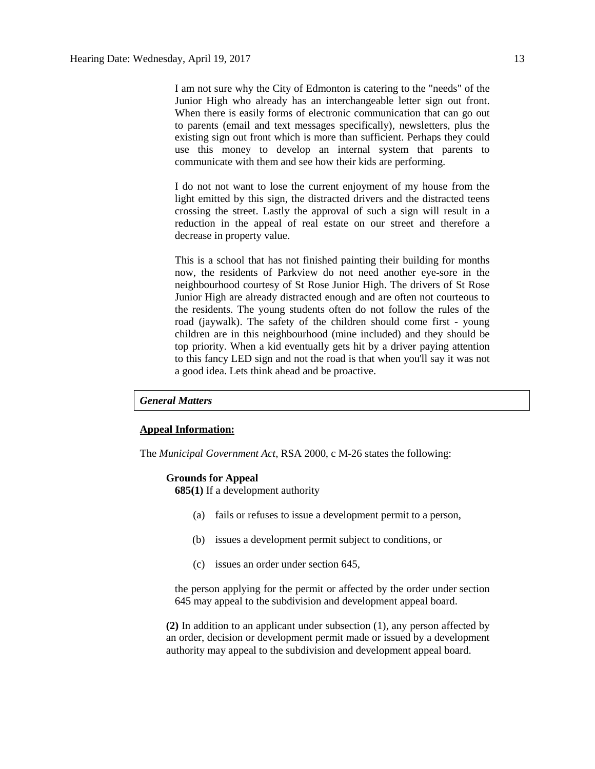I am not sure why the City of Edmonton is catering to the "needs" of the Junior High who already has an interchangeable letter sign out front. When there is easily forms of electronic communication that can go out to parents (email and text messages specifically), newsletters, plus the existing sign out front which is more than sufficient. Perhaps they could use this money to develop an internal system that parents to communicate with them and see how their kids are performing.

I do not not want to lose the current enjoyment of my house from the light emitted by this sign, the distracted drivers and the distracted teens crossing the street. Lastly the approval of such a sign will result in a reduction in the appeal of real estate on our street and therefore a decrease in property value.

This is a school that has not finished painting their building for months now, the residents of Parkview do not need another eye-sore in the neighbourhood courtesy of St Rose Junior High. The drivers of St Rose Junior High are already distracted enough and are often not courteous to the residents. The young students often do not follow the rules of the road (jaywalk). The safety of the children should come first - young children are in this neighbourhood (mine included) and they should be top priority. When a kid eventually gets hit by a driver paying attention to this fancy LED sign and not the road is that when you'll say it was not a good idea. Lets think ahead and be proactive.

#### *General Matters*

#### **Appeal Information:**

The *Municipal Government Act*, RSA 2000, c M-26 states the following:

#### **Grounds for Appeal**

**685(1)** If a development authority

- (a) fails or refuses to issue a development permit to a person,
- (b) issues a development permit subject to conditions, or
- (c) issues an order under section 645,

the person applying for the permit or affected by the order under section 645 may appeal to the subdivision and development appeal board.

**(2)** In addition to an applicant under subsection (1), any person affected by an order, decision or development permit made or issued by a development authority may appeal to the subdivision and development appeal board.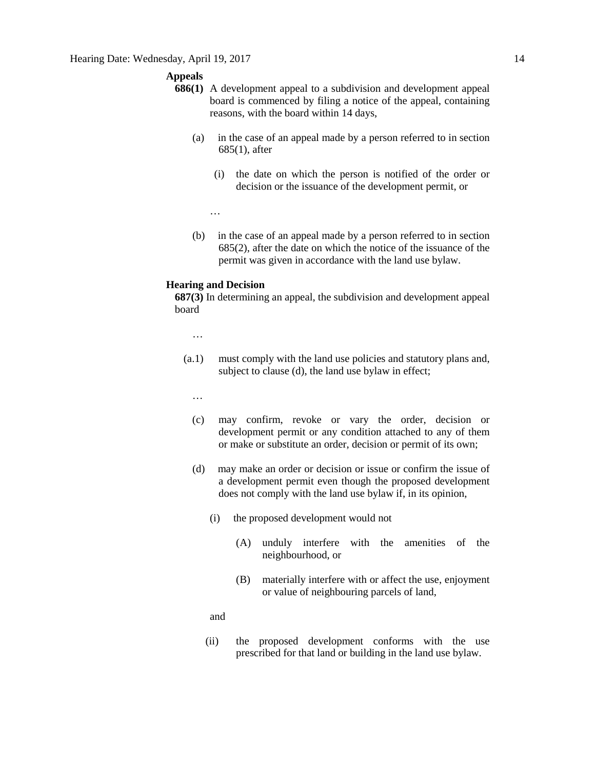#### **Appeals**

- **686(1)** A development appeal to a subdivision and development appeal board is commenced by filing a notice of the appeal, containing reasons, with the board within 14 days,
	- (a) in the case of an appeal made by a person referred to in section 685(1), after
		- (i) the date on which the person is notified of the order or decision or the issuance of the development permit, or

…

(b) in the case of an appeal made by a person referred to in section 685(2), after the date on which the notice of the issuance of the permit was given in accordance with the land use bylaw.

#### **Hearing and Decision**

**687(3)** In determining an appeal, the subdivision and development appeal board

…

- (a.1) must comply with the land use policies and statutory plans and, subject to clause (d), the land use bylaw in effect;
	- …
	- (c) may confirm, revoke or vary the order, decision or development permit or any condition attached to any of them or make or substitute an order, decision or permit of its own;
	- (d) may make an order or decision or issue or confirm the issue of a development permit even though the proposed development does not comply with the land use bylaw if, in its opinion,
		- (i) the proposed development would not
			- (A) unduly interfere with the amenities of the neighbourhood, or
			- (B) materially interfere with or affect the use, enjoyment or value of neighbouring parcels of land,

and

(ii) the proposed development conforms with the use prescribed for that land or building in the land use bylaw.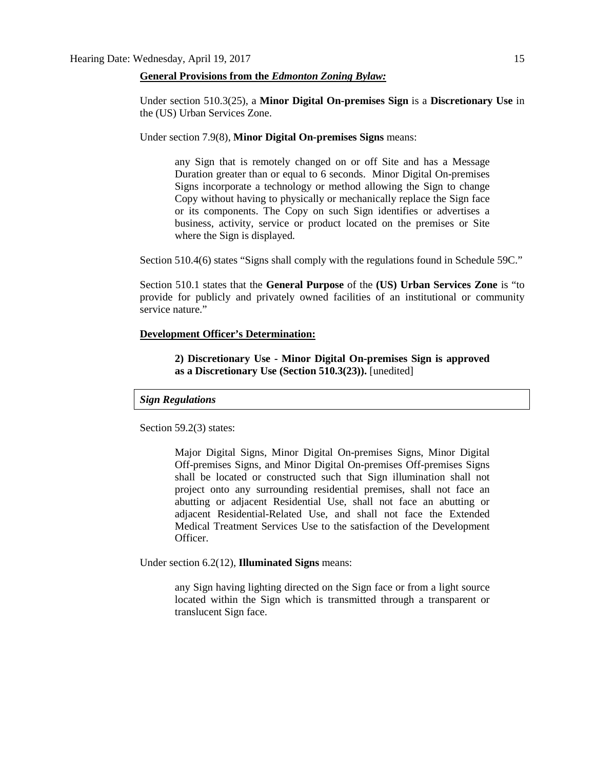#### **General Provisions from the** *Edmonton Zoning Bylaw:*

Under section 510.3(25), a **Minor Digital On-premises Sign** is a **Discretionary Use** in the (US) Urban Services Zone.

Under section 7.9(8), **Minor Digital On-premises Signs** means:

any Sign that is remotely changed on or off Site and has a Message Duration greater than or equal to 6 seconds. Minor Digital On-premises Signs incorporate a technology or method allowing the Sign to change Copy without having to physically or mechanically replace the Sign face or its components. The Copy on such Sign identifies or advertises a business, activity, service or product located on the premises or Site where the Sign is displayed.

Section 510.4(6) states "Signs shall comply with the regulations found in Schedule 59C."

Section 510.1 states that the **General Purpose** of the **(US) Urban Services Zone** is "to provide for publicly and privately owned facilities of an institutional or community service nature."

#### **Development Officer's Determination:**

**2) Discretionary Use - Minor Digital On-premises Sign is approved as a Discretionary Use (Section 510.3(23)).** [unedited]

#### *Sign Regulations*

Section 59.2(3) states:

Major Digital Signs, Minor Digital On-premises Signs, Minor Digital Off-premises Signs, and Minor Digital On-premises Off-premises Signs shall be located or constructed such that Sign illumination shall not project onto any surrounding residential premises, shall not face an abutting or adjacent Residential Use, shall not face an abutting or adjacent Residential-Related Use, and shall not face the Extended Medical Treatment Services Use to the satisfaction of the Development Officer.

Under section 6.2(12), **Illuminated Signs** means:

any Sign having lighting directed on the Sign face or from a light source located within the Sign which is transmitted through a transparent or translucent Sign face.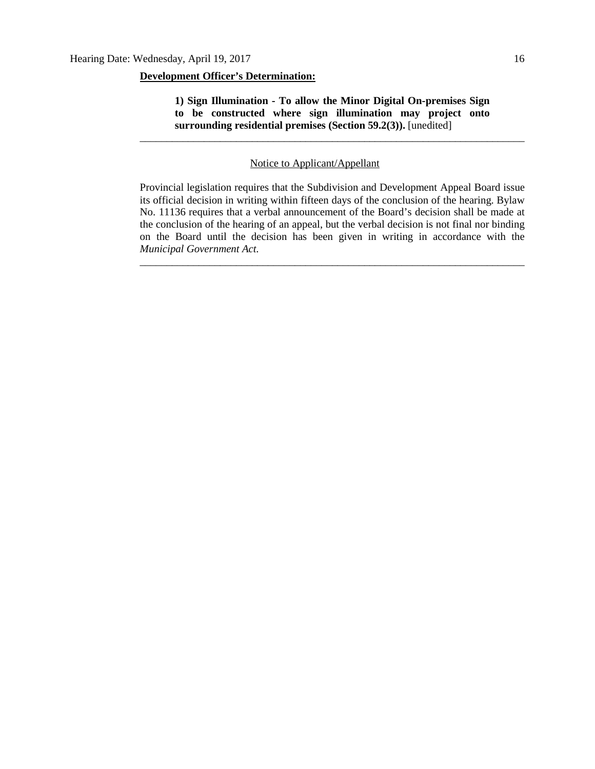#### **Development Officer's Determination:**

**1) Sign Illumination - To allow the Minor Digital On-premises Sign to be constructed where sign illumination may project onto surrounding residential premises (Section 59.2(3)).** [unedited]

\_\_\_\_\_\_\_\_\_\_\_\_\_\_\_\_\_\_\_\_\_\_\_\_\_\_\_\_\_\_\_\_\_\_\_\_\_\_\_\_\_\_\_\_\_\_\_\_\_\_\_\_\_\_\_\_\_\_\_\_\_\_\_\_\_\_\_\_\_\_\_\_

### Notice to Applicant/Appellant

Provincial legislation requires that the Subdivision and Development Appeal Board issue its official decision in writing within fifteen days of the conclusion of the hearing. Bylaw No. 11136 requires that a verbal announcement of the Board's decision shall be made at the conclusion of the hearing of an appeal, but the verbal decision is not final nor binding on the Board until the decision has been given in writing in accordance with the *Municipal Government Act.*

\_\_\_\_\_\_\_\_\_\_\_\_\_\_\_\_\_\_\_\_\_\_\_\_\_\_\_\_\_\_\_\_\_\_\_\_\_\_\_\_\_\_\_\_\_\_\_\_\_\_\_\_\_\_\_\_\_\_\_\_\_\_\_\_\_\_\_\_\_\_\_\_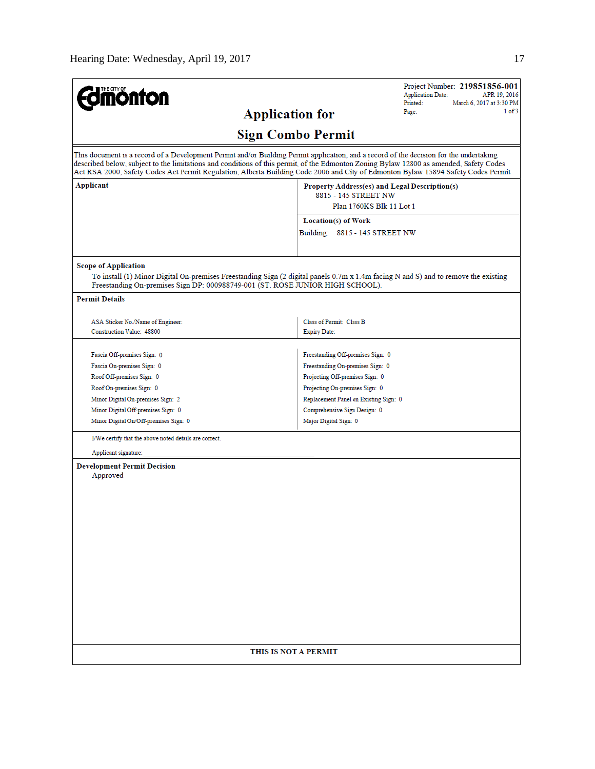| <b>mönton</b>                                                                                                 | Project Number: 219851856-001<br><b>Application Date:</b><br>APR 19, 2016<br>Printed:<br>March 6, 2017 at 3:30 PM                                                                                                                                                                                                                                                                                                     |
|---------------------------------------------------------------------------------------------------------------|-----------------------------------------------------------------------------------------------------------------------------------------------------------------------------------------------------------------------------------------------------------------------------------------------------------------------------------------------------------------------------------------------------------------------|
|                                                                                                               | 1 of 3<br>Page:<br><b>Application for</b>                                                                                                                                                                                                                                                                                                                                                                             |
|                                                                                                               | <b>Sign Combo Permit</b>                                                                                                                                                                                                                                                                                                                                                                                              |
|                                                                                                               | This document is a record of a Development Permit and/or Building Permit application, and a record of the decision for the undertaking<br>described below, subject to the limitations and conditions of this permit, of the Edmonton Zoning Bylaw 12800 as amended, Safety Codes<br>Act RSA 2000, Safety Codes Act Permit Regulation, Alberta Building Code 2006 and City of Edmonton Bylaw 15894 Safety Codes Permit |
| Applicant                                                                                                     | Property Address(es) and Legal Description(s)<br>8815 - 145 STREET NW<br>Plan 1760KS Blk 11 Lot 1                                                                                                                                                                                                                                                                                                                     |
|                                                                                                               |                                                                                                                                                                                                                                                                                                                                                                                                                       |
|                                                                                                               | Location(s) of Work                                                                                                                                                                                                                                                                                                                                                                                                   |
|                                                                                                               | Building: 8815 - 145 STREET NW                                                                                                                                                                                                                                                                                                                                                                                        |
| <b>Scope of Application</b><br>Freestanding On-premises Sign DP: 000988749-001 (ST. ROSE JUNIOR HIGH SCHOOL). | To install (1) Minor Digital On-premises Freestanding Sign (2 digital panels 0.7m x 1.4m facing N and S) and to remove the existing                                                                                                                                                                                                                                                                                   |
| <b>Permit Details</b>                                                                                         |                                                                                                                                                                                                                                                                                                                                                                                                                       |
| ASA Sticker No./Name of Engineer:<br><b>Construction Value: 48800</b>                                         | Class of Permit: Class B<br><b>Expiry Date:</b>                                                                                                                                                                                                                                                                                                                                                                       |
| Fascia Off-premises Sign: 0                                                                                   | Freestanding Off-premises Sign: 0                                                                                                                                                                                                                                                                                                                                                                                     |
| Fascia On-premises Sign: 0                                                                                    | Freestanding On-premises Sign: 0                                                                                                                                                                                                                                                                                                                                                                                      |
| Roof Off-premises Sign: 0                                                                                     | Projecting Off-premises Sign: 0                                                                                                                                                                                                                                                                                                                                                                                       |
| Roof On-premises Sign: 0                                                                                      | Projecting On-premises Sign: 0                                                                                                                                                                                                                                                                                                                                                                                        |
| Minor Digital On-premises Sign: 2                                                                             | Replacement Panel on Existing Sign: 0                                                                                                                                                                                                                                                                                                                                                                                 |
| Minor Digital Off-premises Sign: 0                                                                            | Comprehensive Sign Design: 0                                                                                                                                                                                                                                                                                                                                                                                          |
| Minor Digital On/Off-premises Sign: 0                                                                         | Major Digital Sign: 0                                                                                                                                                                                                                                                                                                                                                                                                 |
| I/We certify that the above noted details are correct.                                                        |                                                                                                                                                                                                                                                                                                                                                                                                                       |
| Applicant signature:                                                                                          |                                                                                                                                                                                                                                                                                                                                                                                                                       |
| <b>Development Permit Decision</b><br>Approved                                                                |                                                                                                                                                                                                                                                                                                                                                                                                                       |
|                                                                                                               |                                                                                                                                                                                                                                                                                                                                                                                                                       |
|                                                                                                               |                                                                                                                                                                                                                                                                                                                                                                                                                       |
|                                                                                                               |                                                                                                                                                                                                                                                                                                                                                                                                                       |
|                                                                                                               |                                                                                                                                                                                                                                                                                                                                                                                                                       |
|                                                                                                               |                                                                                                                                                                                                                                                                                                                                                                                                                       |
|                                                                                                               |                                                                                                                                                                                                                                                                                                                                                                                                                       |
|                                                                                                               |                                                                                                                                                                                                                                                                                                                                                                                                                       |
|                                                                                                               |                                                                                                                                                                                                                                                                                                                                                                                                                       |
|                                                                                                               |                                                                                                                                                                                                                                                                                                                                                                                                                       |
|                                                                                                               |                                                                                                                                                                                                                                                                                                                                                                                                                       |
|                                                                                                               |                                                                                                                                                                                                                                                                                                                                                                                                                       |
|                                                                                                               |                                                                                                                                                                                                                                                                                                                                                                                                                       |
|                                                                                                               |                                                                                                                                                                                                                                                                                                                                                                                                                       |
|                                                                                                               | THIS IS NOT A PERMIT                                                                                                                                                                                                                                                                                                                                                                                                  |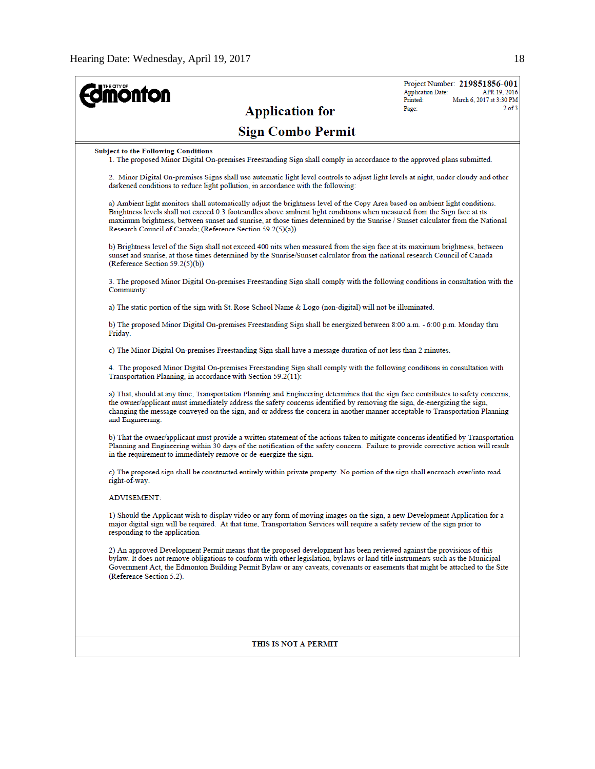| <b>ioulou</b><br><b>Application for</b>                                                                                                                                                                                                                                                                                                                                                                                                                    | <b>Application Date:</b><br>Printed:<br>Page: | Project Number: 219851856-001<br>APR 19, 2016<br>March 6, 2017 at 3:30 PM<br>$2$ of $3$ |
|------------------------------------------------------------------------------------------------------------------------------------------------------------------------------------------------------------------------------------------------------------------------------------------------------------------------------------------------------------------------------------------------------------------------------------------------------------|-----------------------------------------------|-----------------------------------------------------------------------------------------|
| <b>Sign Combo Permit</b>                                                                                                                                                                                                                                                                                                                                                                                                                                   |                                               |                                                                                         |
| <b>Subject to the Following Conditions</b><br>1. The proposed Minor Digital On-premises Freestanding Sign shall comply in accordance to the approved plans submitted.                                                                                                                                                                                                                                                                                      |                                               |                                                                                         |
| 2. Minor Digital On-premises Signs shall use automatic light level controls to adjust light levels at night, under cloudy and other<br>darkened conditions to reduce light pollution, in accordance with the following:                                                                                                                                                                                                                                    |                                               |                                                                                         |
| a) Ambient light monitors shall automatically adjust the brightness level of the Copy Area based on ambient light conditions.<br>Brightness levels shall not exceed 0.3 footcandles above ambient light conditions when measured from the Sign face at its<br>maximum brightness, between sunset and sunrise, at those times determined by the Sunrise / Sunset calculator from the National<br>Research Council of Canada; (Reference Section 59.2(5)(a)) |                                               |                                                                                         |
| b) Brightness level of the Sign shall not exceed 400 nits when measured from the sign face at its maximum brightness, between<br>sunset and sunrise, at those times determined by the Sunrise/Sunset calculator from the national research Council of Canada<br>(Reference Section 59.2(5)(b))                                                                                                                                                             |                                               |                                                                                         |
| 3. The proposed Minor Digital On-premises Freestanding Sign shall comply with the following conditions in consultation with the<br>Community:                                                                                                                                                                                                                                                                                                              |                                               |                                                                                         |
| a) The static portion of the sign with St. Rose School Name & Logo (non-digital) will not be illuminated.                                                                                                                                                                                                                                                                                                                                                  |                                               |                                                                                         |
| b) The proposed Minor Digital On-premises Freestanding Sign shall be energized between 8:00 a.m. - 6:00 p.m. Monday thru<br>Friday.                                                                                                                                                                                                                                                                                                                        |                                               |                                                                                         |
| c) The Minor Digital On-premises Freestanding Sign shall have a message duration of not less than 2 minutes.                                                                                                                                                                                                                                                                                                                                               |                                               |                                                                                         |
| 4. The proposed Minor Digital On-premises Freestanding Sign shall comply with the following conditions in consultation with<br>Transportation Planning, in accordance with Section 59.2(11):                                                                                                                                                                                                                                                               |                                               |                                                                                         |
| a) That, should at any time, Transportation Planning and Engineering determines that the sign face contributes to safety concerns,<br>the owner/applicant must immediately address the safety concerns identified by removing the sign, de-energizing the sign,<br>changing the message conveyed on the sign, and or address the concern in another manner acceptable to Transportation Planning<br>and Engineering.                                       |                                               |                                                                                         |
| b) That the owner/applicant must provide a written statement of the actions taken to mitigate concerns identified by Transportation<br>Planning and Engineering within 30 days of the notification of the safety concern. Failure to provide corrective action will result<br>in the requirement to immediately remove or de-energize the sign.                                                                                                            |                                               |                                                                                         |
| c) The proposed sign shall be constructed entirely within private property. No portion of the sign shall encroach over/into road<br>right-of-way.                                                                                                                                                                                                                                                                                                          |                                               |                                                                                         |
| <b>ADVISEMENT:</b>                                                                                                                                                                                                                                                                                                                                                                                                                                         |                                               |                                                                                         |
| 1) Should the Applicant wish to display video or any form of moving images on the sign, a new Development Application for a<br>major digital sign will be required. At that time, Transportation Services will require a safety review of the sign prior to<br>responding to the application.                                                                                                                                                              |                                               |                                                                                         |
| 2) An approved Development Permit means that the proposed development has been reviewed against the provisions of this<br>bylaw. It does not remove obligations to conform with other legislation, bylaws or land title instruments such as the Municipal<br>Government Act, the Edmonton Building Permit Bylaw or any caveats, covenants or easements that might be attached to the Site<br>(Reference Section 5.2).                                      |                                               |                                                                                         |
|                                                                                                                                                                                                                                                                                                                                                                                                                                                            |                                               |                                                                                         |
| THIS IS NOT A PERMIT                                                                                                                                                                                                                                                                                                                                                                                                                                       |                                               |                                                                                         |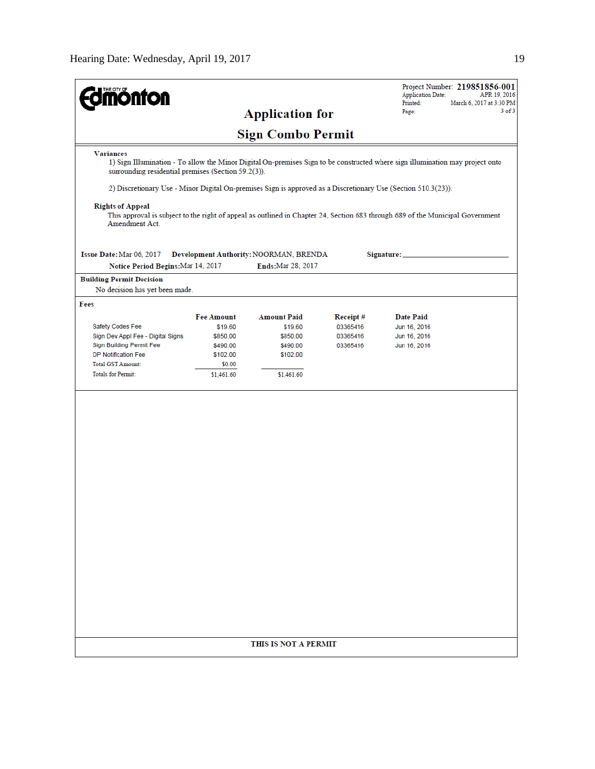| <b>Sign Combo Permit</b><br><b>Variances</b><br>1) Sign Illumination - To allow the Minor Digital On-premises Sign to be constructed where sign illumination may project onto<br>surrounding residential premises (Section 59.2(3)).<br>2) Discretionary Use - Minor Digital On-premises Sign is approved as a Discretionary Use (Section 510.3(23)).<br><b>Rights of Appeal</b><br>This approval is subject to the right of appeal as outlined in Chapter 24, Section 683 through 689 of the Municipal Government<br>Amendment Act.<br>Issue Date: Mar 06, 2017<br>Development Authority: NOORMAN, BRENDA<br>Signature: _<br>Ends: Mar 28, 2017<br>Notice Period Begins: Mar 14, 2017<br><b>Building Permit Decision</b><br>No decision has yet been made.<br>Fees<br><b>Fee Amount</b><br><b>Amount Paid</b><br>Receipt#<br><b>Date Paid</b><br>Safety Codes Fee<br>\$19.60<br>\$19.60<br>03365416<br>Jun 16, 2016<br>Sign Dev Appl Fee - Digital Signs<br>03365416<br>Jun 16, 2016<br>\$850.00<br>\$850.00<br>Sign Building Permit Fee<br>\$490.00<br>\$490.00<br>03365416<br>Jun 16, 2016<br><b>DP Notification Fee</b><br>\$102.00<br>\$102.00<br><b>Total GST Amount:</b><br>\$0.00<br><b>Totals for Permit:</b><br>\$1,461.60<br>\$1,461.60 | <u>THE C</u> ITY OF<br><b>ionfon</b> | <b>Application for</b> | Project Number: 219851856-001<br><b>Application Date:</b><br>APR 19, 2016<br>Printed:<br>March 6, 2017 at 3:30 PM<br>$3$ of $3$<br>Page: |
|----------------------------------------------------------------------------------------------------------------------------------------------------------------------------------------------------------------------------------------------------------------------------------------------------------------------------------------------------------------------------------------------------------------------------------------------------------------------------------------------------------------------------------------------------------------------------------------------------------------------------------------------------------------------------------------------------------------------------------------------------------------------------------------------------------------------------------------------------------------------------------------------------------------------------------------------------------------------------------------------------------------------------------------------------------------------------------------------------------------------------------------------------------------------------------------------------------------------------------------------------|--------------------------------------|------------------------|------------------------------------------------------------------------------------------------------------------------------------------|
|                                                                                                                                                                                                                                                                                                                                                                                                                                                                                                                                                                                                                                                                                                                                                                                                                                                                                                                                                                                                                                                                                                                                                                                                                                                    |                                      |                        |                                                                                                                                          |
|                                                                                                                                                                                                                                                                                                                                                                                                                                                                                                                                                                                                                                                                                                                                                                                                                                                                                                                                                                                                                                                                                                                                                                                                                                                    |                                      |                        |                                                                                                                                          |
|                                                                                                                                                                                                                                                                                                                                                                                                                                                                                                                                                                                                                                                                                                                                                                                                                                                                                                                                                                                                                                                                                                                                                                                                                                                    |                                      |                        |                                                                                                                                          |
|                                                                                                                                                                                                                                                                                                                                                                                                                                                                                                                                                                                                                                                                                                                                                                                                                                                                                                                                                                                                                                                                                                                                                                                                                                                    |                                      |                        |                                                                                                                                          |
|                                                                                                                                                                                                                                                                                                                                                                                                                                                                                                                                                                                                                                                                                                                                                                                                                                                                                                                                                                                                                                                                                                                                                                                                                                                    |                                      |                        |                                                                                                                                          |
|                                                                                                                                                                                                                                                                                                                                                                                                                                                                                                                                                                                                                                                                                                                                                                                                                                                                                                                                                                                                                                                                                                                                                                                                                                                    |                                      |                        |                                                                                                                                          |
|                                                                                                                                                                                                                                                                                                                                                                                                                                                                                                                                                                                                                                                                                                                                                                                                                                                                                                                                                                                                                                                                                                                                                                                                                                                    |                                      |                        |                                                                                                                                          |
|                                                                                                                                                                                                                                                                                                                                                                                                                                                                                                                                                                                                                                                                                                                                                                                                                                                                                                                                                                                                                                                                                                                                                                                                                                                    |                                      |                        |                                                                                                                                          |
|                                                                                                                                                                                                                                                                                                                                                                                                                                                                                                                                                                                                                                                                                                                                                                                                                                                                                                                                                                                                                                                                                                                                                                                                                                                    |                                      |                        |                                                                                                                                          |
|                                                                                                                                                                                                                                                                                                                                                                                                                                                                                                                                                                                                                                                                                                                                                                                                                                                                                                                                                                                                                                                                                                                                                                                                                                                    |                                      |                        |                                                                                                                                          |
|                                                                                                                                                                                                                                                                                                                                                                                                                                                                                                                                                                                                                                                                                                                                                                                                                                                                                                                                                                                                                                                                                                                                                                                                                                                    |                                      |                        |                                                                                                                                          |
|                                                                                                                                                                                                                                                                                                                                                                                                                                                                                                                                                                                                                                                                                                                                                                                                                                                                                                                                                                                                                                                                                                                                                                                                                                                    |                                      |                        |                                                                                                                                          |
|                                                                                                                                                                                                                                                                                                                                                                                                                                                                                                                                                                                                                                                                                                                                                                                                                                                                                                                                                                                                                                                                                                                                                                                                                                                    |                                      |                        |                                                                                                                                          |
|                                                                                                                                                                                                                                                                                                                                                                                                                                                                                                                                                                                                                                                                                                                                                                                                                                                                                                                                                                                                                                                                                                                                                                                                                                                    |                                      |                        |                                                                                                                                          |
|                                                                                                                                                                                                                                                                                                                                                                                                                                                                                                                                                                                                                                                                                                                                                                                                                                                                                                                                                                                                                                                                                                                                                                                                                                                    |                                      |                        |                                                                                                                                          |
| THIS IS NOT A PERMIT                                                                                                                                                                                                                                                                                                                                                                                                                                                                                                                                                                                                                                                                                                                                                                                                                                                                                                                                                                                                                                                                                                                                                                                                                               |                                      |                        |                                                                                                                                          |